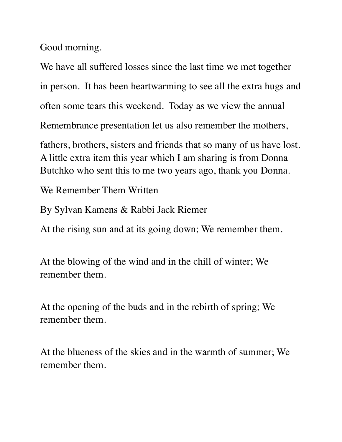Good morning.

We have all suffered losses since the last time we met together in person. It has been heartwarming to see all the extra hugs and often some tears this weekend. Today as we view the annual Remembrance presentation let us also remember the mothers,

fathers, brothers, sisters and friends that so many of us have lost. A little extra item this year which I am sharing is from Donna Butchko who sent this to me two years ago, thank you Donna.

We Remember Them Written

By Sylvan Kamens & Rabbi Jack Riemer

At the rising sun and at its going down; We remember them.

At the blowing of the wind and in the chill of winter; We remember them.

At the opening of the buds and in the rebirth of spring; We remember them.

At the blueness of the skies and in the warmth of summer; We remember them.